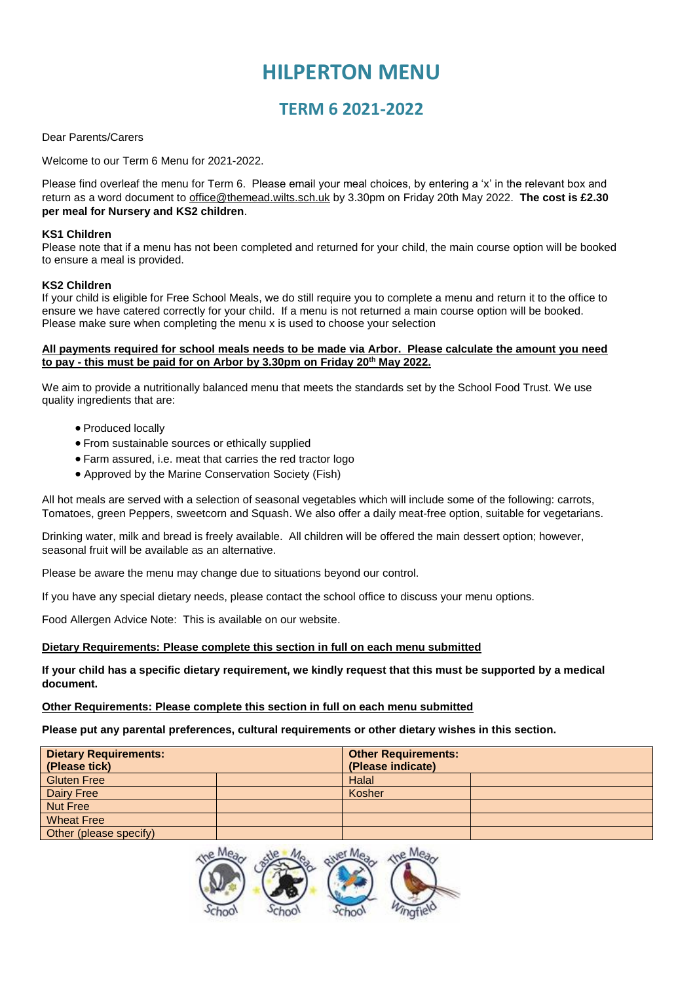# **HILPERTON MENU**

## **TERM 6 2021-2022**

#### Dear Parents/Carers

Welcome to our Term 6 Menu for 2021-2022.

Please find overleaf the menu for Term 6. Please email your meal choices, by entering a 'x' in the relevant box and return as a word document to [office@themead.wilts.sch.uk](mailto:office@themead.wilts.sch.uk) by 3.30pm on Friday 20th May 2022. **The cost is £2.30 per meal for Nursery and KS2 children**.

#### **KS1 Children**

Please note that if a menu has not been completed and returned for your child, the main course option will be booked to ensure a meal is provided.

#### **KS2 Children**

If your child is eligible for Free School Meals, we do still require you to complete a menu and return it to the office to ensure we have catered correctly for your child. If a menu is not returned a main course option will be booked. Please make sure when completing the menu x is used to choose your selection

#### **All payments required for school meals needs to be made via Arbor. Please calculate the amount you need to pay - this must be paid for on Arbor by 3.30pm on Friday 20th May 2022.**

We aim to provide a nutritionally balanced menu that meets the standards set by the School Food Trust. We use quality ingredients that are:

- Produced locally
- From sustainable sources or ethically supplied
- Farm assured, i.e. meat that carries the red tractor logo
- Approved by the Marine Conservation Society (Fish)

All hot meals are served with a selection of seasonal vegetables which will include some of the following: carrots, Tomatoes, green Peppers, sweetcorn and Squash. We also offer a daily meat-free option, suitable for vegetarians.

Drinking water, milk and bread is freely available. All children will be offered the main dessert option; however, seasonal fruit will be available as an alternative.

Please be aware the menu may change due to situations beyond our control.

If you have any special dietary needs, please contact the school office to discuss your menu options.

Food Allergen Advice Note: This is available on our website.

#### **Dietary Requirements: Please complete this section in full on each menu submitted**

**If your child has a specific dietary requirement, we kindly request that this must be supported by a medical document.**

#### **Other Requirements: Please complete this section in full on each menu submitted**

**Please put any parental preferences, cultural requirements or other dietary wishes in this section.**

| <b>Dietary Requirements:</b> |  | <b>Other Requirements:</b> |  |  |  |  |
|------------------------------|--|----------------------------|--|--|--|--|
| (Please tick)                |  | (Please indicate)          |  |  |  |  |
| <b>Gluten Free</b>           |  | Halal                      |  |  |  |  |
| Dairy Free                   |  | Kosher                     |  |  |  |  |
| <b>Nut Free</b>              |  |                            |  |  |  |  |
| <b>Wheat Free</b>            |  |                            |  |  |  |  |
| Other (please specify)       |  |                            |  |  |  |  |

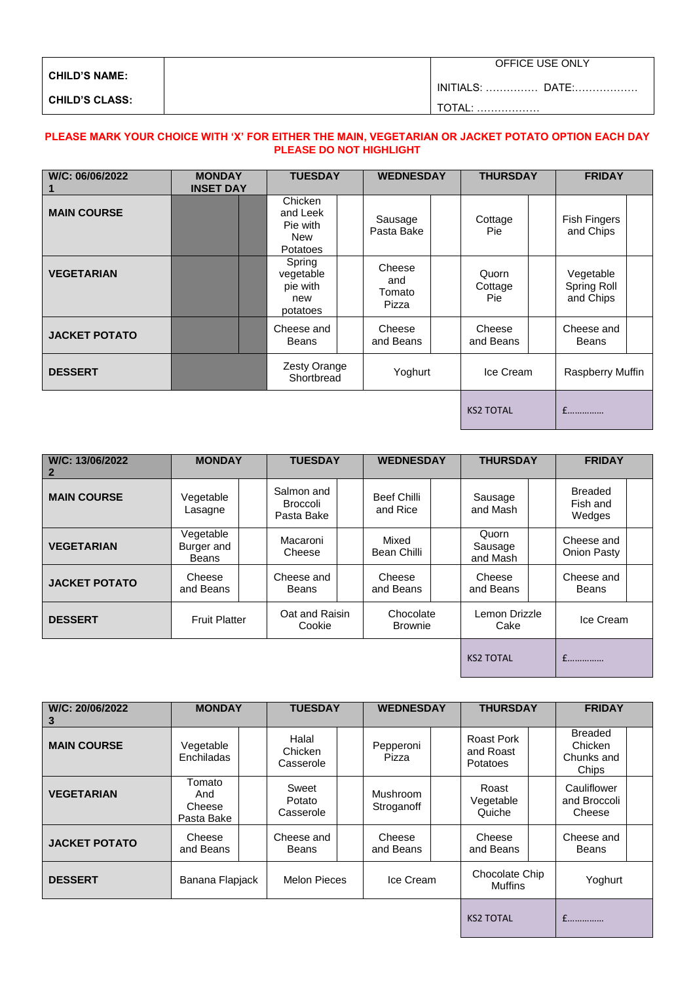| <b>CHILD'S NAME:</b>  | OFFICE USE ONLY         |
|-----------------------|-------------------------|
|                       | <b>INITIALS:  DATE:</b> |
| <b>CHILD'S CLASS:</b> | .                       |

### **PLEASE MARK YOUR CHOICE WITH 'X' FOR EITHER THE MAIN, VEGETARIAN OR JACKET POTATO OPTION EACH DAY PLEASE DO NOT HIGHLIGHT**

| W/C: 06/06/2022      | <b>MONDAY</b><br><b>INSET DAY</b> | <b>TUESDAY</b>                                                   | <b>WEDNESDAY</b>                 | <b>THURSDAY</b>          |  | <b>FRIDAY</b>                         |  |
|----------------------|-----------------------------------|------------------------------------------------------------------|----------------------------------|--------------------------|--|---------------------------------------|--|
| <b>MAIN COURSE</b>   |                                   | Chicken<br>and Leek<br>Pie with<br><b>New</b><br><b>Potatoes</b> | Sausage<br>Pasta Bake            | Cottage<br>Pie:          |  | <b>Fish Fingers</b><br>and Chips      |  |
| <b>VEGETARIAN</b>    |                                   | Spring<br>vegetable<br>pie with<br>new<br>potatoes               | Cheese<br>and<br>Tomato<br>Pizza | Quorn<br>Cottage<br>Pie: |  | Vegetable<br>Spring Roll<br>and Chips |  |
| <b>JACKET POTATO</b> |                                   | Cheese and<br>Beans                                              | Cheese<br>and Beans              | Cheese<br>and Beans      |  | Cheese and<br>Beans                   |  |
| <b>DESSERT</b>       |                                   | Zesty Orange<br>Shortbread                                       | Yoghurt                          | Ice Cream                |  | Raspberry Muffin                      |  |
|                      |                                   |                                                                  |                                  | <b>KS2 TOTAL</b>         |  | f                                     |  |

| W/C: 13/06/2022<br>2 | <b>MONDAY</b>                    | <b>TUESDAY</b>                              |                | <b>WEDNESDAY</b>        |                             | <b>THURSDAY</b>              |                       | <b>FRIDAY</b>                        |           |  |
|----------------------|----------------------------------|---------------------------------------------|----------------|-------------------------|-----------------------------|------------------------------|-----------------------|--------------------------------------|-----------|--|
| <b>MAIN COURSE</b>   | Vegetable<br>Lasagne             | Salmon and<br><b>Broccoli</b><br>Pasta Bake |                | Beef Chilli<br>and Rice |                             | Sausage<br>and Mash          |                       | <b>Breaded</b><br>Fish and<br>Wedges |           |  |
| <b>VEGETARIAN</b>    | Vegetable<br>Burger and<br>Beans | Macaroni<br>Cheese                          |                | Mixed<br>Bean Chilli    |                             | Quorn<br>Sausage<br>and Mash |                       | Cheese and<br>Onion Pasty            |           |  |
| <b>JACKET POTATO</b> | Cheese<br>and Beans              | Cheese and<br>Beans                         |                | Cheese<br>and Beans     |                             | Cheese<br>and Beans          |                       | Cheese and<br><b>Beans</b>           |           |  |
| <b>DESSERT</b>       | <b>Fruit Platter</b>             | Cookie                                      | Oat and Raisin |                         | Chocolate<br><b>Brownie</b> |                              | Lemon Drizzle<br>Cake |                                      | Ice Cream |  |
|                      |                                  |                                             |                |                         |                             | <b>KS2 TOTAL</b>             |                       |                                      |           |  |

| W/C: 20/06/2022<br>З | <b>MONDAY</b>                         | <b>TUESDAY</b>                |  | <b>WEDNESDAY</b>       |  | <b>THURSDAY</b>                     |  | <b>FRIDAY</b>                                    |  |
|----------------------|---------------------------------------|-------------------------------|--|------------------------|--|-------------------------------------|--|--------------------------------------------------|--|
| <b>MAIN COURSE</b>   | Vegetable<br>Enchiladas               | Halal<br>Chicken<br>Casserole |  | Pepperoni<br>Pizza     |  | Roast Pork<br>and Roast<br>Potatoes |  | <b>Breaded</b><br>Chicken<br>Chunks and<br>Chips |  |
| <b>VEGETARIAN</b>    | Tomato<br>And<br>Cheese<br>Pasta Bake | Sweet<br>Potato<br>Casserole  |  | Mushroom<br>Stroganoff |  | Roast<br>Vegetable<br>Quiche        |  | Cauliflower<br>and Broccoli<br>Cheese            |  |
| <b>JACKET POTATO</b> | Cheese<br>and Beans                   | Cheese and<br><b>Beans</b>    |  | Cheese<br>and Beans    |  | Cheese<br>and Beans                 |  | Cheese and<br>Beans                              |  |
| <b>DESSERT</b>       | Banana Flapjack                       | <b>Melon Pieces</b>           |  | Ice Cream              |  | Chocolate Chip<br><b>Muffins</b>    |  | Yoghurt                                          |  |
|                      |                                       |                               |  |                        |  | <b>KS2 TOTAL</b>                    |  | f                                                |  |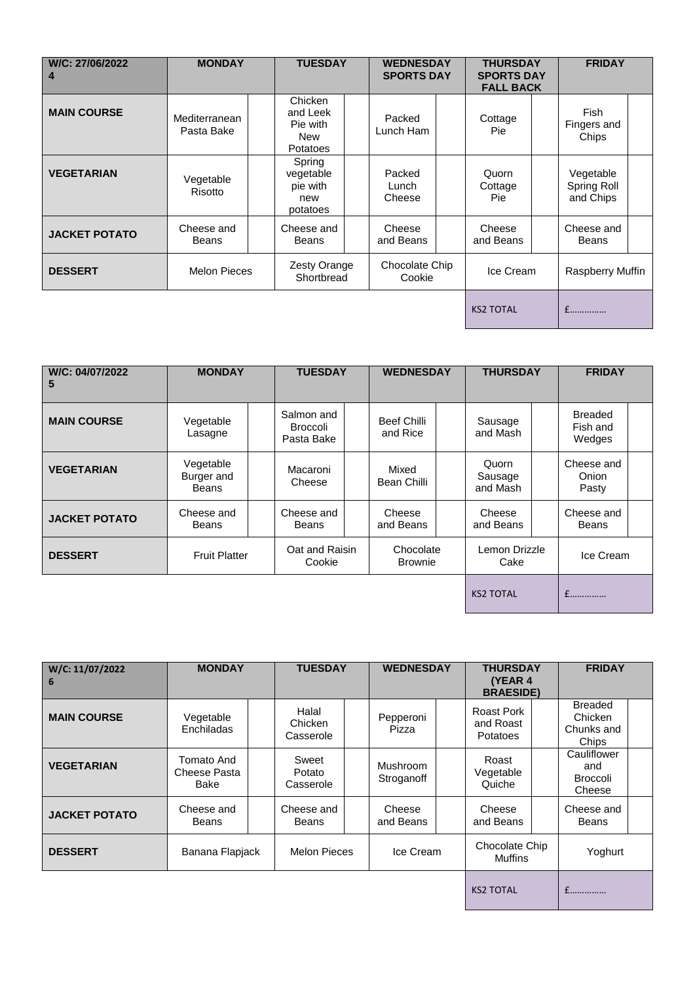| W/C: 27/06/2022<br>4 | <b>MONDAY</b>               | <b>TUESDAY</b>                                                   | <b>WEDNESDAY</b><br><b>SPORTS DAY</b> |                                | <b>THURSDAY</b><br><b>SPORTS DAY</b><br><b>FALL BACK</b> |                                       | <b>FRIDAY</b> |  |
|----------------------|-----------------------------|------------------------------------------------------------------|---------------------------------------|--------------------------------|----------------------------------------------------------|---------------------------------------|---------------|--|
| <b>MAIN COURSE</b>   | Mediterranean<br>Pasta Bake | Chicken<br>and Leek<br>Pie with<br><b>New</b><br><b>Potatoes</b> | Packed<br>Lunch Ham                   | Cottage<br><b>Pie</b>          |                                                          | Fish<br>Fingers and<br>Chips          |               |  |
| <b>VEGETARIAN</b>    | Vegetable<br>Risotto        | Spring<br>vegetable<br>pie with<br>new<br>potatoes               | Packed<br>Lunch<br>Cheese             | Quorn<br>Cottage<br><b>Pie</b> |                                                          | Vegetable<br>Spring Roll<br>and Chips |               |  |
| <b>JACKET POTATO</b> | Cheese and<br><b>Beans</b>  | Cheese and<br><b>Beans</b>                                       | Cheese<br>and Beans                   | Cheese<br>and Beans            |                                                          | Cheese and<br>Beans                   |               |  |
| <b>DESSERT</b>       | <b>Melon Pieces</b>         | Zesty Orange<br>Shortbread                                       | Chocolate Chip<br>Cookie              | Ice Cream                      |                                                          | Raspberry Muffin                      |               |  |
|                      |                             |                                                                  |                                       | <b>KS2 TOTAL</b>               |                                                          | f                                     |               |  |

| W/C: 04/07/2022<br>5 | <b>MONDAY</b>                           | <b>TUESDAY</b>                       |                             | <b>WEDNESDAY</b> |                              | <b>THURSDAY</b> |                                      | <b>FRIDAY</b> |  |
|----------------------|-----------------------------------------|--------------------------------------|-----------------------------|------------------|------------------------------|-----------------|--------------------------------------|---------------|--|
| <b>MAIN COURSE</b>   | Vegetable<br>Lasagne                    | Salmon and<br>Broccoli<br>Pasta Bake | Beef Chilli<br>and Rice     |                  | Sausage<br>and Mash          |                 | <b>Breaded</b><br>Fish and<br>Wedges |               |  |
| <b>VEGETARIAN</b>    | Vegetable<br>Burger and<br><b>Beans</b> | Macaroni<br>Cheese                   | Mixed<br>Bean Chilli        |                  | Quorn<br>Sausage<br>and Mash |                 | Cheese and<br>Onion<br>Pasty         |               |  |
| <b>JACKET POTATO</b> | Cheese and<br><b>Beans</b>              | Cheese and<br>Beans                  | Cheese<br>and Beans         |                  | Cheese<br>and Beans          |                 | Cheese and<br><b>Beans</b>           |               |  |
| <b>DESSERT</b>       | <b>Fruit Platter</b>                    | Oat and Raisin<br>Cookie             | Chocolate<br><b>Brownie</b> |                  | Lemon Drizzle<br>Cake        |                 | Ice Cream                            |               |  |
|                      |                                         |                                      |                             |                  | <b>KS2 TOTAL</b>             |                 |                                      |               |  |

| W/C: 11/07/2022<br>6 | <b>MONDAY</b>                      | <b>TUESDAY</b>                | <b>WEDNESDAY</b>       | <b>THURSDAY</b><br>(YEAR 4<br><b>BRAESIDE)</b> | <b>FRIDAY</b>                                    |  |
|----------------------|------------------------------------|-------------------------------|------------------------|------------------------------------------------|--------------------------------------------------|--|
| <b>MAIN COURSE</b>   | Vegetable<br>Enchiladas            | Halal<br>Chicken<br>Casserole | Pepperoni<br>Pizza     | Roast Pork<br>and Roast<br><b>Potatoes</b>     | <b>Breaded</b><br>Chicken<br>Chunks and<br>Chips |  |
| <b>VEGETARIAN</b>    | Tomato And<br>Cheese Pasta<br>Bake | Sweet<br>Potato<br>Casserole  | Mushroom<br>Stroganoff | Roast<br>Vegetable<br>Quiche                   | Cauliflower<br>and<br><b>Broccoli</b><br>Cheese  |  |
| <b>JACKET POTATO</b> | Cheese and<br><b>Beans</b>         | Cheese and<br>Beans           | Cheese<br>and Beans    | Cheese<br>and Beans                            | Cheese and<br><b>Beans</b>                       |  |
| <b>DESSERT</b>       | Banana Flapjack                    | <b>Melon Pieces</b>           | Ice Cream              | Chocolate Chip<br><b>Muffins</b>               | Yoghurt                                          |  |
|                      |                                    |                               |                        | <b>KS2 TOTAL</b>                               | £                                                |  |